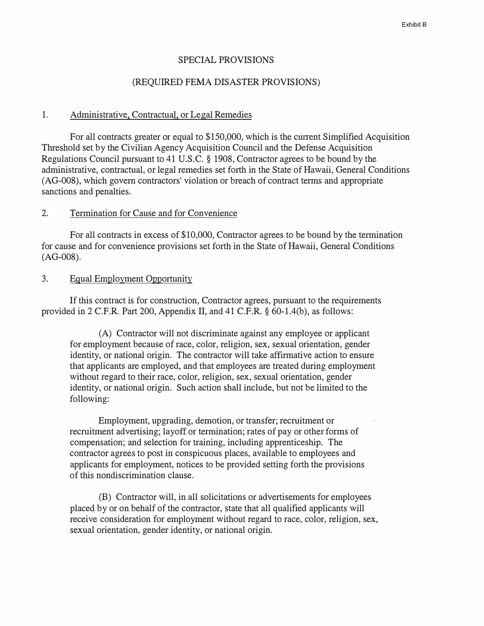#### SPECIAL PROVISIONS

#### (REQUIRED FEMA DISASTER PROVISIONS)

#### 1. Administrative, Contractual, or Legal Remedies

For all contracts greater or equal to \$150,000, which is the current Simplified Acquisition Threshold set by the Civilian Agency Acquisition Council and the Defense Acquisition Regulations Council pursuant to 41 U.S.C. § 1908, Contractor agrees to be bound by the administrative, contractual, or legal remedies set forth in the State of Hawaii, General Conditions (AG-008), which govern contractors' violation or breach of contract terms and appropriate sanctions and penalties.

### 2. Termination for Cause and for Convenience

For all contracts in excess of \$10,000, Contractor agrees to be bound by the termination for cause and for convenience provisions set forth in the State of Hawaii, General Conditions (AG-008).

### 3. Equal Employment Opportunity

If this contract is for construction, Contractor agrees, pursuant to the requirements provided in 2 C.F.R. Part 200, Appendix II, and 41 C.F.R. § 60-l.4(b), as follows:

(A) Contractor will not discriminate against any employee or applicant for employment because of race, color, religion, sex, sexual orientation, gender identity, or national origin. The contractor will take affirmative action to ensure that applicants are employed, and that employees are treated during employment without regard to their race, color, religion, sex, sexual orientation, gender identity, or national origin. Such action shall include, but not be limited to the following:

Employment, upgrading, demotion, or transfer; recruitment or recruitment advertising; layoff or termination; rates of pay or other forms of compensation; and selection for training, including apprenticeship. The contractor agrees to post in conspicuous places, available to employees and applicants for employment, notices to be provided setting forth the provisions of this nondiscrimination clause.

(B) Contractor will, in all solicitations or advertisements for employees placed by or on behalf of the contractor, state that all qualified applicants will receive consideration for employment without regard to race, color, religion, sex, sexual orientation, gender identity, or national origin.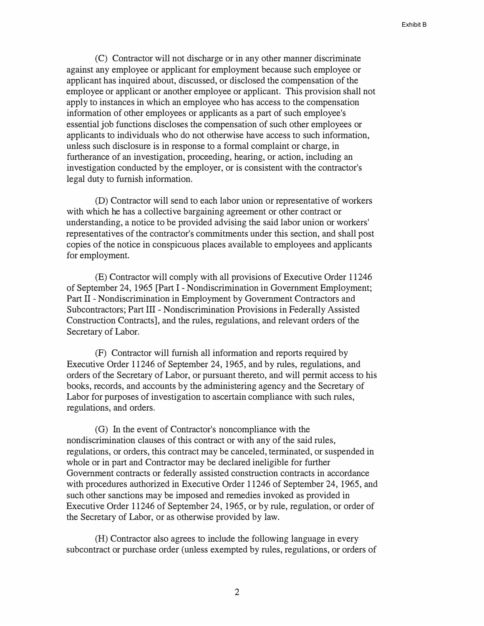(C) Contractor will not discharge or in any other manner discriminate against any employee or applicant for employment because such employee or applicant has inquired about, discussed, or disclosed the compensation of the employee or applicant or another employee or applicant. This provision shall not apply to instances in which an employee who has access to the compensation information of other employees or applicants as a part of such employee's essential job functions discloses the compensation of such other employees or applicants to individuals who do not otherwise have access to such information, unless such disclosure is in response to a formal complaint or charge, in furtherance of an investigation, proceeding, hearing, or action, including an investigation conducted by the employer, or is consistent with the contractor's legal duty to furnish information.

(D) Contractor will send to each labor union or representative of workers with which he has a collective bargaining agreement or other contract or understanding, a notice to be provided advising the said labor union or workers' representatives of the contractor's commitments under this section, and shall post copies of the notice in conspicuous places available to employees and applicants for employment.

(E) Contractor will comply with all provisions of Executive Order 11246 of September 24, 1965 [Part I -Nondiscrimination in Government Employment; Part II - Nondiscrimination in Employment by Government Contractors and Subcontractors; Part III - Nondiscrimination Provisions in Federally Assisted Construction Contracts], and the rules, regulations, and relevant orders of the Secretary of Labor.

(F) Contractor will furnish all information and reports required by Executive Order 11246 of September 24, 1965, and by rules, regulations, and orders of the Secretary of Labor, or pursuant thereto, and will permit access to his books, records, and accounts by the administering agency and the Secretary of Labor for purposes of investigation to ascertain compliance with such rules, regulations, and orders.

(G) In the event of Contractor's noncompliance with the nondiscrimination clauses of this contract or with any of the said rules, regulations, or orders, this contract may be canceled, terminated, or suspended in whole or in part and Contractor may be declared ineligible for further Government contracts or federally assisted construction contracts in accordance with procedures authorized in Executive Order 11246 of September 24, 1965, and such other sanctions may be imposed and remedies invoked as provided in Executive Order 11246 of September 24, 1965, or by rule, regulation, or order of the Secretary of Labor, or as otherwise provided by law.

(H) Contractor also agrees to include the following language in every subcontract or purchase order (unless exempted by rules, regulations, or orders of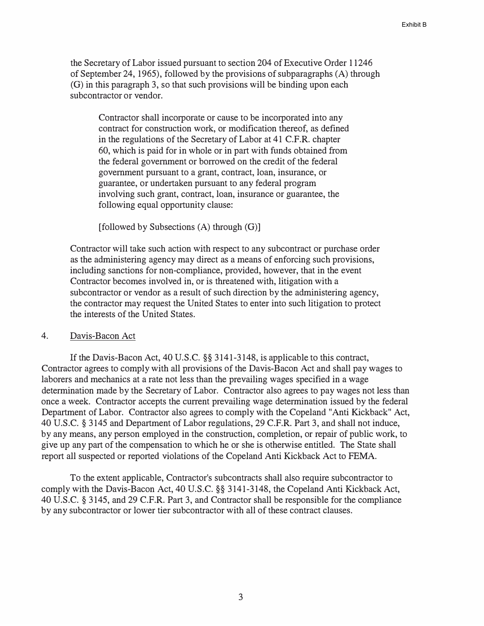the Secretary of Labor issued pursuant to section 204 of Executive Order 11246 of September 24, 1965), followed by the provisions of subparagraphs (A) through (G) in this paragraph 3, so that such provisions will be binding upon each subcontractor or vendor.

Contractor shall incorporate or cause to be incorporated into any contract for construction work, or modification thereof, as defined in the regulations of the Secretary of Labor at 41 C.F.R. chapter 60, which is paid for in whole or in part with funds obtained from the federal government or borrowed on the credit of the federal government pursuant to a grant, contract, loan, insurance, or guarantee, or undertaken pursuant to any federal program involving such grant, contract, loan, insurance or guarantee, the following equal opportunity clause:

 $[followed by Subsections (A) through (G)]$ 

Contractor will take such action with respect to any subcontract or purchase order as the administering agency may direct as a means of enforcing such provisions, including sanctions for non-compliance, provided, however, that in the event Contractor becomes involved in, or is threatened with, litigation with a subcontractor or vendor as a result of such direction by the administering agency, the contractor may request the United States to enter into such litigation to protect the interests of the United States.

#### 4. Davis-Bacon Act

If the Davis-Bacon Act, 40 U.S.C. §§ 3141-3148, is applicable to this contract, Contractor agrees to comply with all provisions of the Davis-Bacon Act and shall pay wages to laborers and mechanics at a rate not less than the prevailing wages specified in a wage determination made by the Secretary of Labor. Contractor also agrees to pay wages not less than once a week. Contractor accepts the current prevailing wage determination issued by the federal Department of Labor. Contractor also agrees to comply with the Copeland "Anti Kickback" Act, 40 U.S.C. § 3145 and Department of Labor regulations, 29 C.F.R. Part 3, and shall not induce, by any means, any person employed in the construction, completion, or repair of public work, to give up any part of the compensation to which he or she is otherwise entitled. The State shall report all suspected or reported violations of the Copeland Anti Kickback Act to FEMA.

To the extent applicable, Contractor's subcontracts shall also require subcontractor to comply with the Davis-Bacon Act, 40 U.S.C. §§ 3141-3148, the Copeland Anti Kickback Act, 40 U.S.C. § 3145, and 29 C.F.R. Part 3, and Contractor shall be responsible for the compliance by any subcontractor or lower tier subcontractor with all of these contract clauses.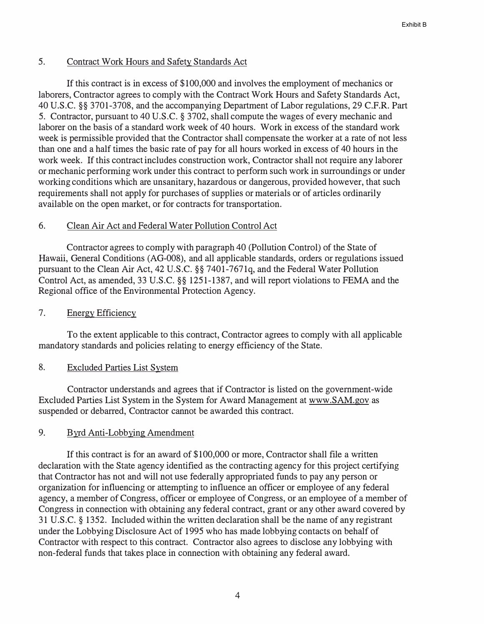## 5. Contract Work Hours and Safety Standards Act

**If** this contract is in excess of \$100,000 and involves the employment of mechanics or laborers, Contractor agrees to comply with the Contract Work Hours and Safety Standards Act, 40 U.S.C. §§ 3701-3708, and the accompanying Department of Labor regulations, 29 C.F.R. Part 5. Contractor, pursuant to 40 U.S.C. § 3702, shall compute the wages of every mechanic and laborer on the basis of a standard work week of 40 hours. Work in excess of the standard work week is permissible provided that the Contractor shall compensate the worker at a rate of not less than one and a half times the basic rate of pay for all hours worked in excess of 40 hours in the work week. **If** this contract includes construction work, Contractor shall not require any laborer or mechanic performing work under this contract to perform such work in surroundings or under working conditions which are unsanitary, hazardous or dangerous, provided however, that such requirements shall not apply for purchases of supplies or materials or of articles ordinarily available on the open market, or for contracts for transportation.

## 6. Clean Air Act and Federal Water Pollution Control Act

Contractor agrees to comply with paragraph 40 (Pollution Control) of the State of Hawaii, General Conditions (AG-008), and all applicable standards, orders or regulations issued pursuant to the Clean Air Act, 42 U.S.C. §§ 7401-7671q, and the Federal Water Pollution Control Act, as amended, 33 U.S.C. §§ 1251-1387, and will report violations to FEMA and the Regional office of the Environmental Protection Agency.

## 7. Energy Efficiency

To the extent applicable to this contract, Contractor agrees to comply with all applicable mandatory standards and policies relating to energy efficiency of the State.

## 8. Excluded Parties List System

Contractor understands and agrees that if Contractor is listed on the government-wide Excluded Parties List System in the System for Award Management at www.SAM.gov as suspended or debarred, Contractor cannot be awarded this contract.

## 9. Byrd Anti-Lobbying Amendment

**If** this contract is for an award of \$100,000 or more, Contractor shall file a written declaration with the State agency identified as the contracting agency for this project certifying that Contractor has not and will not use federally appropriated funds to pay any person or organization for influencing or attempting to influence an officer or employee of any federal agency, a member of Congress, officer or employee of Congress, or an employee of a member of Congress in connection with obtaining any federal contract, grant or any other award covered by 31 U .S.C. § 1352. Included within the written declaration shall be the name of any registrant under the Lobbying Disclosure Act of 1995 who has made lobbying contacts on behalf of Contractor with respect to this contract. Contractor also agrees to disclose any lobbying with non-federal funds that takes place in connection with obtaining any federal award.